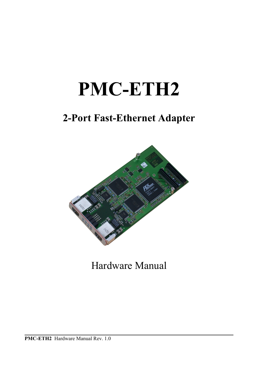# **PMC-ETH2**

# **2-Port Fast-Ethernet Adapter**



Hardware Manual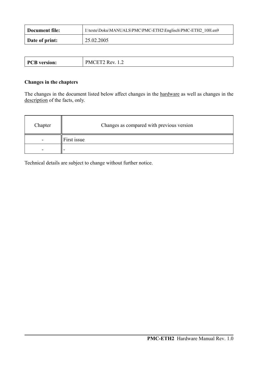| Document file: | I:\texte\Doku\MANUALS\PMC\PMC-ETH2\Englisch\PMC-ETH2 10H.en9 |
|----------------|--------------------------------------------------------------|
| Date of print: | 25.02.2005                                                   |

| $\mathbf{p} \cap \mathbf{E}$<br>ית<br>sion.<br>N/I<br>$\cdots$<br>$\overline{1}$ .<br>.<br>$\sim$ |
|---------------------------------------------------------------------------------------------------|
|---------------------------------------------------------------------------------------------------|

#### **Changes in the chapters**

The changes in the document listed below affect changes in the hardware as well as changes in the description of the facts, only.

| Chapter | Changes as compared with previous version |
|---------|-------------------------------------------|
| -       | First issue                               |
| -       |                                           |

Technical details are subject to change without further notice.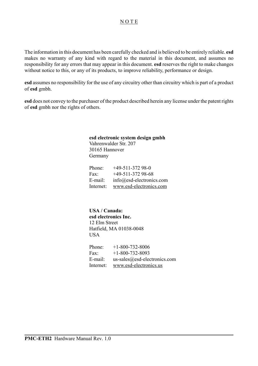#### N O T E

The information in this document has been carefully checked and is believed to be entirely reliable. **esd** makes no warranty of any kind with regard to the material in this document, and assumes no responsibility for any errors that may appear in this document. **esd** reserves the right to make changes without notice to this, or any of its products, to improve reliability, performance or design.

**esd** assumes no responsibility for the use of any circuitry other than circuitry which is part of a product of **esd** gmbh.

**esd** does not convey to the purchaser of the product described herein any license under the patent rights of **esd** gmbh nor the rights of others.

#### **esd electronic system design gmbh**

Vahrenwalder Str. 207 30165 Hannover Germany

| Phone:    | $+49-511-37298-0$          |
|-----------|----------------------------|
| Fax:      | $+49-511-37298-68$         |
| E-mail:   | $info@esd-electronics.com$ |
| Internet: | www.esd-electronics.com    |

**USA / Canada: esd electronics Inc.** 12 Elm Street Hatfield, MA 01038-0048 USA

| Phone:    | $+1 - 800 - 732 - 8006$      |
|-----------|------------------------------|
| Fax:      | $+1 - 800 - 732 - 8093$      |
| E-mail:   | us-sales@esd-electronics.com |
| Internet: | www.esd-electronics.us       |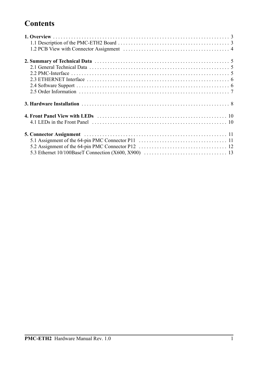# **Contents**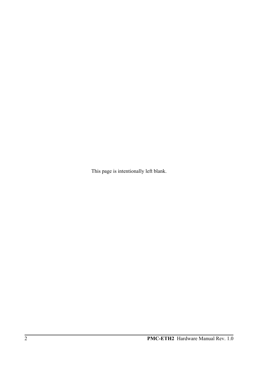This page is intentionally left blank.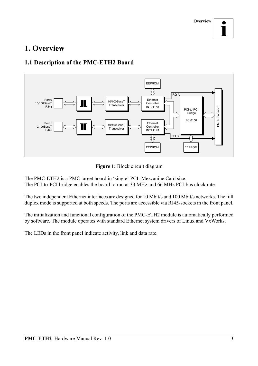## **1. Overview**

#### **1.1 Description of the PMC-ETH2 Board**



**Figure 1:** Block circuit diagram

The PMC-ETH2 is a PMC target board in 'single' PCI -Mezzanine Card size. The PCI-to-PCI bridge enables the board to run at 33 MHz and 66 MHz PCI-bus clock rate.

The two independent Ethernet interfaces are designed for 10 Mbit/s and 100 Mbit/s networks. The full duplex mode is supported at both speeds. The ports are accessible via RJ45-sockets in the front panel.

The initialization and functional configuration of the PMC-ETH2 module is automatically performed by software. The module operates with standard Ethernet system drivers of Linux and VxWorks.

The LEDs in the front panel indicate activity, link and data rate.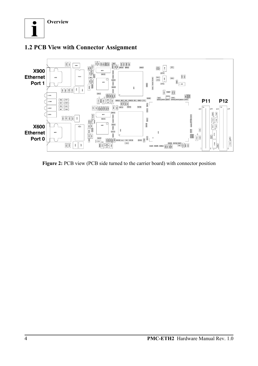

#### **1.2 PCB View with Connector Assignment**

**Figure 2:** PCB view (PCB side turned to the carrier board) with connector position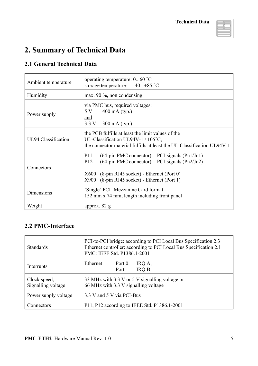

# **2. Summary of Technical Data**

## **2.1 General Technical Data**

| Ambient temperature        | operating temperature: $060$ °C<br>storage temperature: -40+85 °C                                                                                                                                                                                               |  |  |
|----------------------------|-----------------------------------------------------------------------------------------------------------------------------------------------------------------------------------------------------------------------------------------------------------------|--|--|
| Humidity                   | max. 90 $\%$ , non condensing                                                                                                                                                                                                                                   |  |  |
| Power supply               | via PMC bus, required voltages:<br>400 mA (typ.)<br>5 V<br>and<br>3.3 V<br>$300 \text{ mA}$ (typ.)                                                                                                                                                              |  |  |
| <b>UL94 Classification</b> | the PCB fulfills at least the limit values of the<br>UL-Classification UL94V-1 / 105°C,<br>the connector material fulfills at least the UL-Classification UL94V-1.                                                                                              |  |  |
| Connectors                 | <b>P11</b><br>$(64$ -pin PMC connector) - PCI-signals (Pn1/Jn1)<br>$(64-pin$ PMC connector) - PCI-signals $(\text{Pn2/Jn2})$<br>P <sub>12</sub><br>$(8-pin RJ45 \text{ socket})$ - Ethernet (Port 0)<br>X600<br>(8-pin RJ45 socket) - Ethernet (Port 1)<br>X900 |  |  |
| Dimensions                 | 'Single' PCI -Mezzanine Card format<br>152 mm x 74 mm, length including front panel                                                                                                                                                                             |  |  |
| Weight                     | approx. $82$ g                                                                                                                                                                                                                                                  |  |  |

#### **2.2 PMC-Interface**

| <b>Standards</b>                   | PCI-to-PCI bridge: according to PCI Local Bus Specification 2.3<br>Ethernet controller: according to PCI Local Bus Specification 2.1<br>PMC: IEEE Std. P1386.1-2001 |  |  |
|------------------------------------|---------------------------------------------------------------------------------------------------------------------------------------------------------------------|--|--|
| Interrupts                         | Ethernet<br>Port 0: $\,\,\mathrm{IRQ\;A},$<br>Port 1: IRQ B                                                                                                         |  |  |
| Clock speed,<br>Signalling voltage | 33 MHz with 3.3 V or 5 V signalling voltage or<br>66 MHz with 3.3 V signalling voltage                                                                              |  |  |
| Power supply voltage               | 3.3 V and 5 V via PCI-Bus                                                                                                                                           |  |  |
| Connectors                         | P11, P12 according to IEEE Std. P1386.1-2001                                                                                                                        |  |  |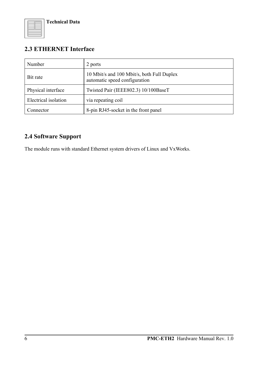### **2.3 ETHERNET Interface**

| Number               | 2 ports                                                                     |  |
|----------------------|-----------------------------------------------------------------------------|--|
| Bit rate             | 10 Mbit/s and 100 Mbit/s, both Full Duplex<br>automatic speed configuration |  |
| Physical interface   | Twisted Pair (IEEE802.3) 10/100BaseT                                        |  |
| Electrical isolation | via repeating coil                                                          |  |
| Connector            | 8-pin RJ45-socket in the front panel                                        |  |

## **2.4 Software Support**

The module runs with standard Ethernet system drivers of Linux and VxWorks.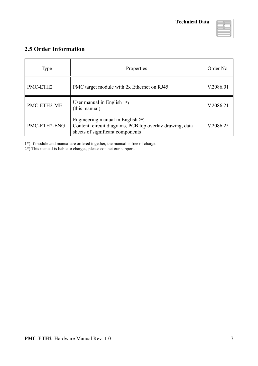#### **2.5 Order Information**

| Type         | Properties                                                                                                                        | Order No. |
|--------------|-----------------------------------------------------------------------------------------------------------------------------------|-----------|
| PMC-ETH2     | PMC target module with 2x Ethernet on RJ45                                                                                        | V.2086.01 |
| PMC-ETH2-ME  | User manual in English $1^*$ )<br>(this manual)                                                                                   | V.2086.21 |
| PMC-ETH2-ENG | Engineering manual in English 2*)<br>Content: circuit diagrams, PCB top overlay drawing, data<br>sheets of significant components | V.2086.25 |

1\*) If module and manual are ordered together, the manual is free of charge.

2\*) This manual is liable to charges, please contact our support.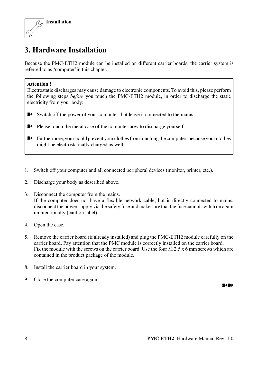

# **3. Hardware Installation**

Because the PMC-ETH2 module can be installed on different carrier boards, the carrier system is referred to as 'computer'in this chapter.

#### **Attention !**

Electrostatic discharges may cause damage to electronic components. To avoid this, please perform the following steps *before* you touch the PMC-ETH2 module, in order to discharge the static electricity from your body:

- Switch off the power of your computer, but leave it connected to the mains.
- **Please touch the metal case of the computer now to discharge yourself.**
- **P** Furthermore, you should prevent your clothes from touching the computer, because your clothes might be electrostatically charged as well.
- 1. Switch off your computer and all connected peripheral devices (monitor, printer, etc.).
- 2. Discharge your body as described above.
- 3. Disconnect the computer from the mains. If the computer does not have a flexible network cable, but is directly connected to mains, disconnect the power supply via the safety fuse and make sure that the fuse cannot switch on again unintentionally (caution label).
- 4. Open the case.
- 5. Remove the carrier board (if already installed) and plug the PMC-ETH2 module carefully on the carrier board. Pay attention that the PMC module is correctly installed on the carrier board. Fix the module with the screws on the carrier board. Use the four M 2.5 x 6 mm screws which are contained in the product package of the module.
- 8. Install the carrier board in your system.
- 9. Close the computer case again.

 $B \rightarrow B +$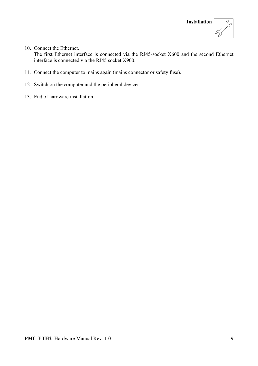

10. Connect the Ethernet.

The first Ethernet interface is connected via the RJ45-socket X600 and the second Ethernet interface is connected via the RJ45 socket X900.

- 11. Connect the computer to mains again (mains connector or safety fuse).
- 12. Switch on the computer and the peripheral devices.
- 13. End of hardware installation.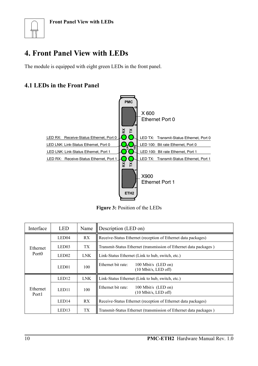

# **4. Front Panel View with LEDs**

The module is equipped with eight green LEDs in the front panel.

### **4.1 LEDs in the Front Panel**



**Figure 3:** Position of the LEDs

| Interface                     | <b>LED</b>        | Name       | Description (LED on)                                                |
|-------------------------------|-------------------|------------|---------------------------------------------------------------------|
| Ethernet<br>Port <sub>0</sub> | LED <sub>04</sub> | RX.        | Receive-Status Ethernet (reception of Ethernet data packages)       |
|                               | LED <sub>03</sub> | TX.        | Transmit-Status Ethernet (transmission of Ethernet data packages)   |
|                               | LED <sub>02</sub> | <b>LNK</b> | Link-Status Ethernet (Link to hub, switch, etc.)                    |
|                               | LED01             | 100        | Ethernet bit rate:<br>100 Mbit/s (LED on)<br>$(10$ Mbit/s, LED off) |
| Ethernet<br>Port1             | LED <sub>12</sub> | <b>LNK</b> | Link-Status Ethernet (Link to hub, switch, etc.)                    |
|                               | LED11             | 100        | Ethernet bit rate:<br>100 Mbit/s (LED on)<br>$(10$ Mbit/s, LED off) |
|                               | LED14             | RX         | Receive-Status Ethernet (reception of Ethernet data packages)       |
|                               | LED <sub>13</sub> | TX         | Transmit-Status Ethernet (transmission of Ethernet data packages)   |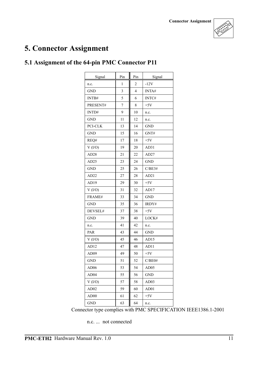

# **5. Connector Assignment**

## **5.1 Assignment of the 64-pin PMC Connector P11**

| Signal           | Pin | Pin | Signal           |
|------------------|-----|-----|------------------|
| n.c.             | 1   | 2   | $-12V$           |
| <b>GND</b>       | 3   | 4   | INTA#            |
| INTB#            | 5   | 6   | INTC#            |
| PRESENT#         | 7   | 8   | $+5V$            |
| INTD#            | 9   | 10  | n.c.             |
| <b>GND</b>       | 11  | 12  | n.c.             |
| PCI-CLK          | 13  | 14  | <b>GND</b>       |
| <b>GND</b>       | 15  | 16  | GNT#             |
| REQ#             | 17  | 18  | $+5V$            |
| V (I/O)          | 19  | 20  | AD31             |
| AD <sub>28</sub> | 21  | 22  | AD27             |
| AD <sub>25</sub> | 23  | 24  | <b>GND</b>       |
| <b>GND</b>       | 25  | 26  | C/BE3#           |
| AD <sub>22</sub> | 27  | 28  | AD21             |
| AD <sub>19</sub> | 29  | 30  | $+5V$            |
| V(I/O)           | 31  | 32  | AD17             |
| FRAME#           | 33  | 34  | <b>GND</b>       |
| <b>GND</b>       | 35  | 36  | IRDY#            |
| DEVSEL#          | 37  | 38  | $+5V$            |
| <b>GND</b>       | 39  | 40  | LOCK#            |
| n.c.             | 41  | 42  | n.c.             |
| PAR              | 43  | 44  | GND              |
| V (I/O)          | 45  | 46  | AD <sub>15</sub> |
| AD <sub>12</sub> | 47  | 48  | AD11             |
| AD <sub>09</sub> | 49  | 50  | $+5V$            |
| <b>GND</b>       | 51  | 52  | C/BE0#           |
| AD <sub>06</sub> | 53  | 54  | AD05             |
| AD <sub>04</sub> | 55  | 56  | <b>GND</b>       |
| V (I/O)          | 57  | 58  | AD03             |
| AD <sub>02</sub> | 59  | 60  | AD01             |
| AD <sub>00</sub> | 61  | 62  | $+5V$            |
| <b>GND</b>       | 63  | 64  | n.c.             |

Connector type complies with PMC SPECIFICATION IEEE1386.1-2001

n.c. ... not connected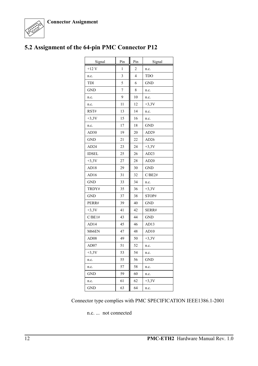

| Signal           | Pin    | Pin            | Signal           |
|------------------|--------|----------------|------------------|
| $+12V$           | 1      | 2              | n.c.             |
| n.c.             | 3      | $\overline{4}$ | <b>TDO</b>       |
| TDI              | 5      | 6              | <b>GND</b>       |
| <b>GND</b>       | 7      | 8              | n.c.             |
| n.c.             | 9      | 10             | n.c.             |
| n.c.             | 11     | 12             | $+3,3V$          |
| RST#             | 13     | 14             | n.c.             |
| $+3,3V$          | 15     | 16             | n.c.             |
| n.c.             | 17     | 18             | <b>GND</b>       |
| AD30             | 19     | 20             | AD <sub>29</sub> |
| <b>GND</b>       | 21     | 22             | AD26             |
| AD24             | 23     | 24             | $+3,3V$          |
| <b>IDSEL</b>     | 25     | 26             | AD23             |
| $+3,3V$          | $27\,$ | 28             | AD20             |
| AD18             | 29     | 30             | <b>GND</b>       |
| AD <sub>16</sub> | 31     | 32             | C/BE2#           |
| <b>GND</b>       | 33     | 34             | n.c.             |
| TRDY#            | 35     | 36             | $+3,3V$          |
| <b>GND</b>       | 37     | 38             | STOP#            |
| PERR#            | 39     | 40             | <b>GND</b>       |
| $+3,3V$          | 41     | 42             | SERR#            |
| C/BE1#           | 43     | 44             | <b>GND</b>       |
| AD14             | 45     | 46             | AD13             |
| M66EN            | 47     | 48             | AD <sub>10</sub> |
| AD <sub>08</sub> | 49     | 50             | $+3,3V$          |
| AD07             | 51     | 52             | n.c.             |
| $+3,3V$          | 53     | 54             | n.c.             |
| n.c.             | 55     | 56             | <b>GND</b>       |
| n.c.             | 57     | 58             | n.c.             |
| <b>GND</b>       | 59     | 60             | n.c.             |
| n.c.             | 61     | 62             | $+3,3V$          |
| <b>GND</b>       | 63     | 64             | n.c.             |

## **5.2 Assignment of the 64-pin PMC Connector P12**

Connector type complies with PMC SPECIFICATION IEEE1386.1-2001

n.c. ... not connected